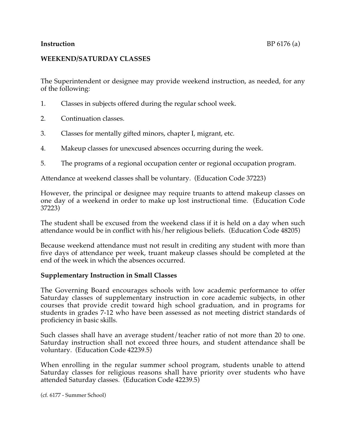#### **Instruction** BP 6176 (a)

## **WEEKEND/SATURDAY CLASSES**

The Superintendent or designee may provide weekend instruction, as needed, for any of the following:

- 1. Classes in subjects offered during the regular school week.
- 2. Continuation classes.
- 3. Classes for mentally gifted minors, chapter I, migrant, etc.
- 4. Makeup classes for unexcused absences occurring during the week.
- 5. The programs of a regional occupation center or regional occupation program.

Attendance at weekend classes shall be voluntary. (Education Code 37223)

However, the principal or designee may require truants to attend makeup classes on one day of a weekend in order to make up lost instructional time. (Education Code 37223)

The student shall be excused from the weekend class if it is held on a day when such attendance would be in conflict with his/her religious beliefs. (Education Code 48205)

Because weekend attendance must not result in crediting any student with more than five days of attendance per week, truant makeup classes should be completed at the end of the week in which the absences occurred.

#### **Supplementary Instruction in Small Classes**

The Governing Board encourages schools with low academic performance to offer Saturday classes of supplementary instruction in core academic subjects, in other courses that provide credit toward high school graduation, and in programs for students in grades 7-12 who have been assessed as not meeting district standards of proficiency in basic skills.

Such classes shall have an average student/teacher ratio of not more than 20 to one. Saturday instruction shall not exceed three hours, and student attendance shall be voluntary. (Education Code 42239.5)

When enrolling in the regular summer school program, students unable to attend Saturday classes for religious reasons shall have priority over students who have attended Saturday classes. (Education Code 42239.5)

(cf. 6177 - Summer School)